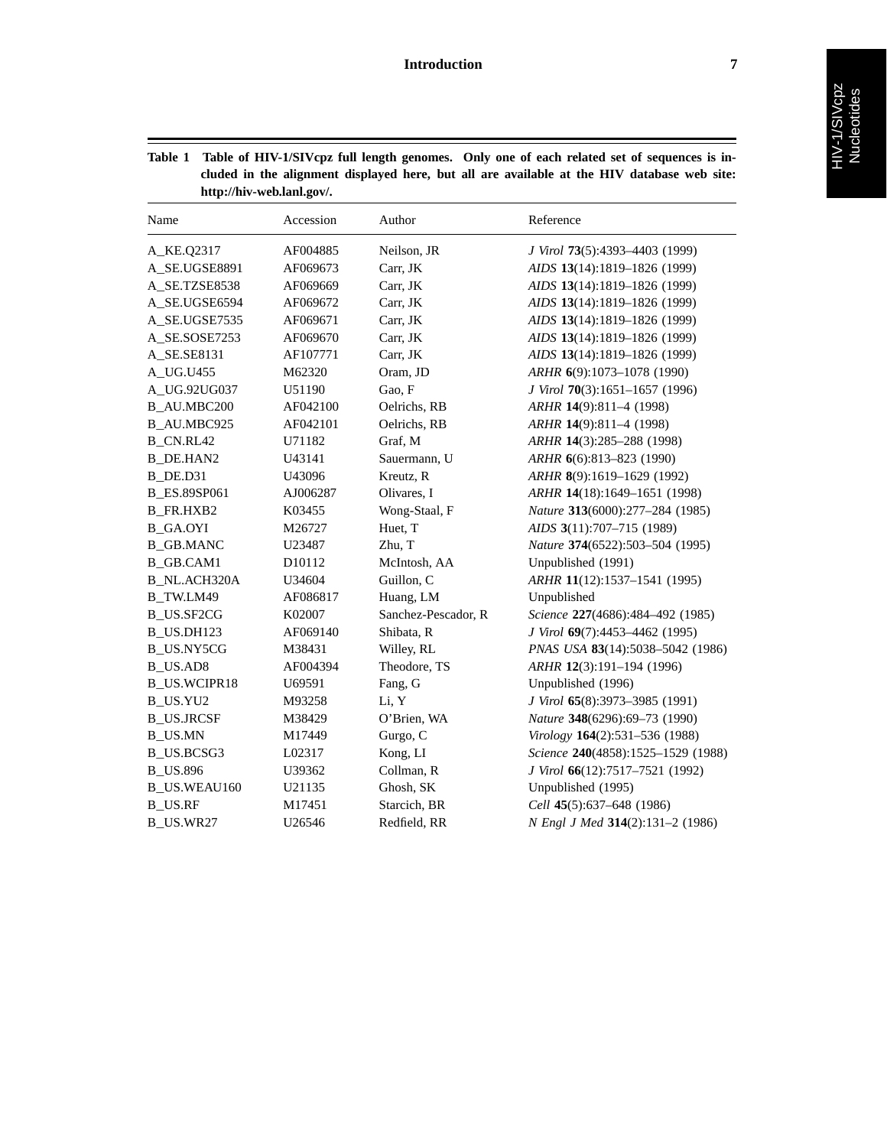ł

| Table 1 |                           | Table of HIV-1/SIV cpz full length genomes. Only one of each related set of sequences is in- |  |
|---------|---------------------------|----------------------------------------------------------------------------------------------|--|
|         |                           | cluded in the alignment displayed here, but all are available at the HIV database web site:  |  |
|         | http://hiv-web.lanl.gov/. |                                                                                              |  |

| Name                | Accession | Author              | Reference                          |
|---------------------|-----------|---------------------|------------------------------------|
| A_KE.Q2317          | AF004885  | Neilson, JR         | J Virol 73(5):4393-4403 (1999)     |
| A_SE.UGSE8891       | AF069673  | Carr, JK            | AIDS 13(14):1819-1826 (1999)       |
| A_SE.TZSE8538       | AF069669  | Carr, JK            | AIDS 13(14):1819-1826 (1999)       |
| A_SE.UGSE6594       | AF069672  | Carr, JK            | AIDS 13(14):1819-1826 (1999)       |
| A_SE.UGSE7535       | AF069671  | Carr, JK            | AIDS 13(14):1819-1826 (1999)       |
| A SE.SOSE7253       | AF069670  | Carr, JK            | AIDS 13(14):1819-1826 (1999)       |
| A_SE.SE8131         | AF107771  | Carr, JK            | AIDS 13(14):1819-1826 (1999)       |
| A_UG.U455           | M62320    | Oram, JD            | ARHR 6(9):1073-1078 (1990)         |
| A_UG.92UG037        | U51190    | Gao, F              | J Virol 70(3):1651-1657 (1996)     |
| <b>B</b> AU.MBC200  | AF042100  | Oelrichs, RB        | ARHR 14(9):811-4 (1998)            |
| B_AU.MBC925         | AF042101  | Oelrichs, RB        | ARHR 14(9):811-4 (1998)            |
| <b>B_CN.RL42</b>    | U71182    | Graf, M             | ARHR 14(3):285-288 (1998)          |
| <b>B</b> DE.HAN2    | U43141    | Sauermann, U        | ARHR 6(6):813-823 (1990)           |
| B_DE.D31            | U43096    | Kreutz, R           | ARHR 8(9):1619-1629 (1992)         |
| <b>B_ES.89SP061</b> | AJ006287  | Olivares, I         | ARHR 14(18):1649-1651 (1998)       |
| <b>B_FR.HXB2</b>    | K03455    | Wong-Staal, F       | Nature 313(6000):277-284 (1985)    |
| <b>B_GA.OYI</b>     | M26727    | Huet, T             | AIDS 3(11):707-715 (1989)          |
| <b>B_GB.MANC</b>    | U23487    | Zhu, T              | Nature 374(6522):503-504 (1995)    |
| <b>B_GB.CAM1</b>    | D10112    | McIntosh, AA        | Unpublished (1991)                 |
| <b>B_NL.ACH320A</b> | U34604    | Guillon, C          | ARHR 11(12):1537-1541 (1995)       |
| B TW.LM49           | AF086817  | Huang, LM           | Unpublished                        |
| <b>B_US.SF2CG</b>   | K02007    | Sanchez-Pescador, R | Science 227(4686):484-492 (1985)   |
| B_US.DH123          | AF069140  | Shibata, R          | J Virol 69(7):4453-4462 (1995)     |
| <b>B_US.NY5CG</b>   | M38431    | Willey, RL          | PNAS USA 83(14):5038-5042 (1986)   |
| <b>B_US.AD8</b>     | AF004394  | Theodore, TS        | ARHR 12(3):191-194 (1996)          |
| <b>B_US.WCIPR18</b> | U69591    | Fang, G             | Unpublished (1996)                 |
| B_US.YU2            | M93258    | Li, Y               | J Virol 65(8):3973-3985 (1991)     |
| <b>B_US.JRCSF</b>   | M38429    | O'Brien, WA         | Nature 348(6296):69-73 (1990)      |
| <b>B_US.MN</b>      | M17449    | Gurgo, C            | Virology 164(2):531-536 (1988)     |
| B US.BCSG3          | L02317    | Kong, LI            | Science 240(4858):1525-1529 (1988) |
| <b>B_US.896</b>     | U39362    | Collman, R          | J Virol 66(12):7517-7521 (1992)    |
| <b>B_US.WEAU160</b> | U21135    | Ghosh, SK           | Unpublished (1995)                 |
| <b>B_US.RF</b>      | M17451    | Starcich, BR        | Cell 45(5):637-648 (1986)          |
| B_US.WR27           | U26546    | Redfield, RR        | N Engl J Med 314(2):131-2 (1986)   |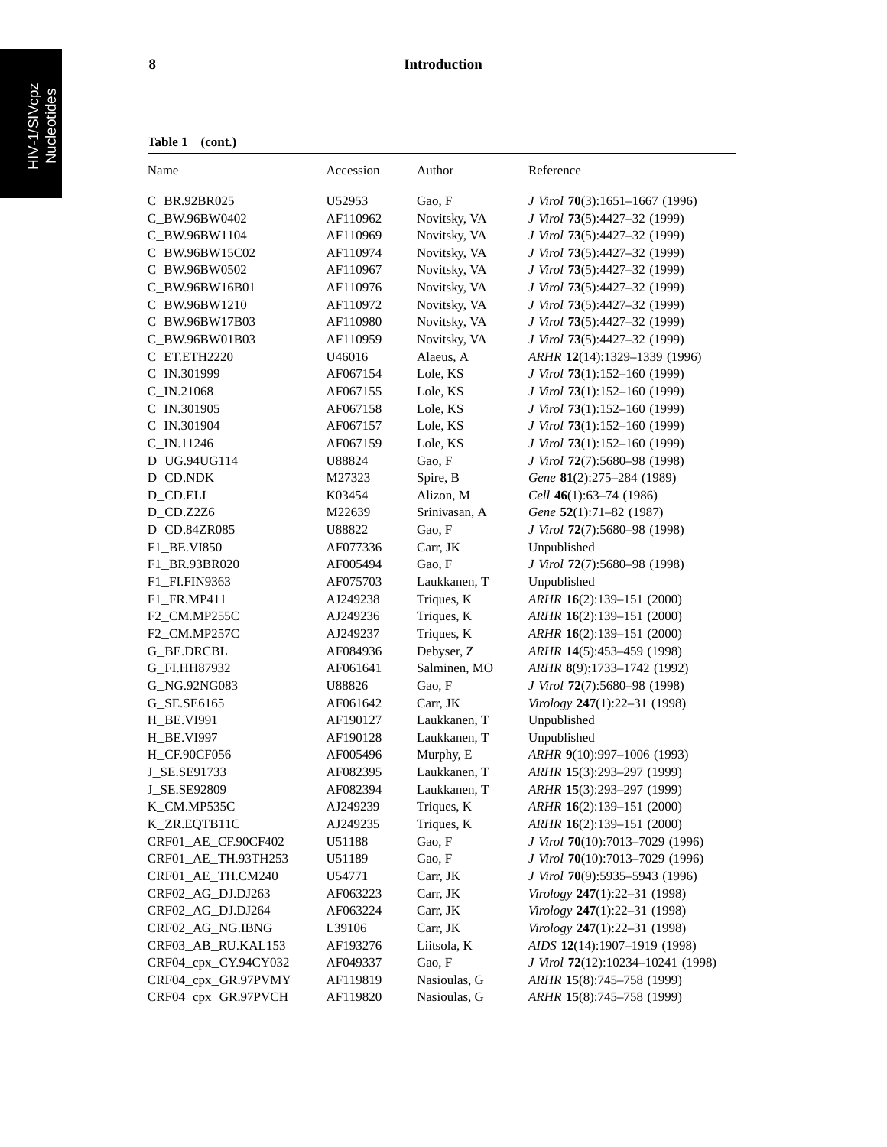## **8 Introduction**

| Name<br>Accession<br>Author<br>Reference<br>C_BR.92BR025<br>U52953<br>Gao, F<br>J Virol 70(3):1651-1667 (1996)<br>C BW.96BW0402<br>AF110962<br>Novitsky, VA<br>J Virol 73(5):4427-32 (1999)<br>C_BW.96BW1104<br>AF110969<br>Novitsky, VA<br>J Virol 73(5):4427-32 (1999)<br>Novitsky, VA<br>J Virol 73(5):4427-32 (1999)<br>C_BW.96BW15C02<br>AF110974<br>AF110967<br>Novitsky, VA<br>J Virol 73(5):4427-32 (1999)<br>C_BW.96BW0502<br>AF110976<br>Novitsky, VA<br>J Virol 73(5):4427-32 (1999)<br>C BW.96BW16B01<br>C_BW.96BW1210<br>AF110972<br>Novitsky, VA<br>J Virol 73(5):4427-32 (1999)<br>C_BW.96BW17B03<br>AF110980<br>Novitsky, VA<br>J Virol 73(5):4427-32 (1999)<br>C_BW.96BW01B03<br>AF110959<br>Novitsky, VA<br>J Virol 73(5):4427-32 (1999)<br>C_ET.ETH2220<br>U46016<br>Alaeus, A<br>ARHR 12(14):1329-1339 (1996)<br>C_IN.301999<br>AF067154<br>Lole, KS<br>J Virol 73(1):152-160 (1999)<br>C_IN.21068<br>AF067155<br>Lole, KS<br>J Virol 73(1):152-160 (1999)<br>C_IN.301905<br>AF067158<br>Lole, KS<br>J Virol 73(1):152-160 (1999)<br>C_IN.301904<br>AF067157<br>Lole, KS<br>J Virol 73(1):152-160 (1999)<br>C_IN.11246<br>AF067159<br>Lole, KS<br>J Virol 73(1):152-160 (1999)<br>U88824<br>Gao, F<br>D_UG.94UG114<br>J Virol 72(7):5680-98 (1998)<br>Spire, B<br>D_CD.NDK<br>M27323<br>Gene 81(2):275-284 (1989)<br>Alizon, M<br>D_CD.ELI<br>K03454<br>Cell 46(1):63-74 (1986)<br>Srinivasan, A<br>D_CD.Z2Z6<br>M22639<br>Gene 52(1):71-82 (1987)<br>Gao, F<br>J Virol 72(7):5680-98 (1998)<br>D_CD.84ZR085<br>U88822<br>F1_BE.VI850<br>AF077336<br>Carr, JK<br>Unpublished<br>Gao, F<br>AF005494<br>J Virol 72(7):5680-98 (1998)<br>F1_BR.93BR020<br>AF075703<br>Laukkanen, T<br>Unpublished<br>F1_FI.FIN9363<br>Triques, K<br>F1_FR.MP411<br>AJ249238<br>ARHR 16(2):139-151 (2000)<br>Triques, K<br>F2_CM.MP255C<br>AJ249236<br>ARHR 16(2):139-151 (2000)<br>Triques, K<br>F2_CM.MP257C<br>AJ249237<br>ARHR 16(2):139-151 (2000)<br>Debyser, Z<br>G_BE.DRCBL<br>AF084936<br>ARHR 14(5):453-459 (1998)<br>Salminen, MO<br>G_FI.HH87932<br>AF061641<br>ARHR 8(9):1733-1742 (1992)<br>U88826<br>Gao, F<br>J Virol 72(7):5680-98 (1998)<br>G_NG.92NG083<br>G_SE.SE6165<br>AF061642<br>Carr, JK<br>Virology 247(1):22-31 (1998)<br>Laukkanen, T<br><b>H_BE.VI991</b><br>AF190127<br>Unpublished<br>Laukkanen, T<br>Unpublished<br>H BE.VI997<br>AF190128<br>Murphy, E<br><b>H_CF.90CF056</b><br>AF005496<br>ARHR 9(10):997-1006 (1993)<br>AF082395<br>Laukkanen, T<br>J SE.SE91733<br>ARHR 15(3):293-297 (1999)<br>ARHR 15(3):293-297 (1999)<br>J_SE.SE92809<br>AF082394<br>Laukkanen, T<br>Triques, K<br>K_CM.MP535C<br>AJ249239<br>ARHR 16(2):139-151 (2000)<br>Triques, K<br>ARHR 16(2):139-151 (2000)<br>K_ZR.EQTB11C<br>AJ249235<br>Gao, F<br>J Virol 70(10):7013-7029 (1996)<br>CRF01_AE_CF.90CF402<br>U51188<br>J Virol 70(10):7013-7029 (1996)<br>CRF01_AE_TH.93TH253<br>U51189<br>Gao, F<br>J Virol 70(9):5935-5943 (1996)<br>CRF01_AE_TH.CM240<br>U54771<br>Carr, JK<br>CRF02_AG_DJ.DJ263<br>AF063223<br>Carr, JK<br>Virology 247(1):22-31 (1998)<br>CRF02 AG DJ.DJ264<br>AF063224<br>Carr, JK<br>Virology $247(1):22-31(1998)$<br>Carr, JK<br>Virology 247(1):22-31 (1998)<br>CRF02 AG NG.IBNG<br>L39106<br>CRF03_AB_RU.KAL153<br>Liitsola, K<br>AIDS 12(14):1907-1919 (1998)<br>AF193276<br>CRF04_cpx_CY.94CY032<br>Gao, F<br>AF049337<br>J Virol 72(12):10234-10241 (1998)<br>CRF04_cpx_GR.97PVMY<br>Nasioulas, G<br>ARHR 15(8):745-758 (1999)<br>AF119819 | Table 1<br>(cont.)  |          |              |                           |  |  |  |
|-------------------------------------------------------------------------------------------------------------------------------------------------------------------------------------------------------------------------------------------------------------------------------------------------------------------------------------------------------------------------------------------------------------------------------------------------------------------------------------------------------------------------------------------------------------------------------------------------------------------------------------------------------------------------------------------------------------------------------------------------------------------------------------------------------------------------------------------------------------------------------------------------------------------------------------------------------------------------------------------------------------------------------------------------------------------------------------------------------------------------------------------------------------------------------------------------------------------------------------------------------------------------------------------------------------------------------------------------------------------------------------------------------------------------------------------------------------------------------------------------------------------------------------------------------------------------------------------------------------------------------------------------------------------------------------------------------------------------------------------------------------------------------------------------------------------------------------------------------------------------------------------------------------------------------------------------------------------------------------------------------------------------------------------------------------------------------------------------------------------------------------------------------------------------------------------------------------------------------------------------------------------------------------------------------------------------------------------------------------------------------------------------------------------------------------------------------------------------------------------------------------------------------------------------------------------------------------------------------------------------------------------------------------------------------------------------------------------------------------------------------------------------------------------------------------------------------------------------------------------------------------------------------------------------------------------------------------------------------------------------------------------------------------------------------------------------------------------------------------------------------------------------------------------------------------------------------------------------------------------------------------------------------------------------------------------------------------------------------------------------------------------------------------------------------------------------------------------------------------------|---------------------|----------|--------------|---------------------------|--|--|--|
|                                                                                                                                                                                                                                                                                                                                                                                                                                                                                                                                                                                                                                                                                                                                                                                                                                                                                                                                                                                                                                                                                                                                                                                                                                                                                                                                                                                                                                                                                                                                                                                                                                                                                                                                                                                                                                                                                                                                                                                                                                                                                                                                                                                                                                                                                                                                                                                                                                                                                                                                                                                                                                                                                                                                                                                                                                                                                                                                                                                                                                                                                                                                                                                                                                                                                                                                                                                                                                                                                           |                     |          |              |                           |  |  |  |
|                                                                                                                                                                                                                                                                                                                                                                                                                                                                                                                                                                                                                                                                                                                                                                                                                                                                                                                                                                                                                                                                                                                                                                                                                                                                                                                                                                                                                                                                                                                                                                                                                                                                                                                                                                                                                                                                                                                                                                                                                                                                                                                                                                                                                                                                                                                                                                                                                                                                                                                                                                                                                                                                                                                                                                                                                                                                                                                                                                                                                                                                                                                                                                                                                                                                                                                                                                                                                                                                                           |                     |          |              |                           |  |  |  |
|                                                                                                                                                                                                                                                                                                                                                                                                                                                                                                                                                                                                                                                                                                                                                                                                                                                                                                                                                                                                                                                                                                                                                                                                                                                                                                                                                                                                                                                                                                                                                                                                                                                                                                                                                                                                                                                                                                                                                                                                                                                                                                                                                                                                                                                                                                                                                                                                                                                                                                                                                                                                                                                                                                                                                                                                                                                                                                                                                                                                                                                                                                                                                                                                                                                                                                                                                                                                                                                                                           |                     |          |              |                           |  |  |  |
|                                                                                                                                                                                                                                                                                                                                                                                                                                                                                                                                                                                                                                                                                                                                                                                                                                                                                                                                                                                                                                                                                                                                                                                                                                                                                                                                                                                                                                                                                                                                                                                                                                                                                                                                                                                                                                                                                                                                                                                                                                                                                                                                                                                                                                                                                                                                                                                                                                                                                                                                                                                                                                                                                                                                                                                                                                                                                                                                                                                                                                                                                                                                                                                                                                                                                                                                                                                                                                                                                           |                     |          |              |                           |  |  |  |
|                                                                                                                                                                                                                                                                                                                                                                                                                                                                                                                                                                                                                                                                                                                                                                                                                                                                                                                                                                                                                                                                                                                                                                                                                                                                                                                                                                                                                                                                                                                                                                                                                                                                                                                                                                                                                                                                                                                                                                                                                                                                                                                                                                                                                                                                                                                                                                                                                                                                                                                                                                                                                                                                                                                                                                                                                                                                                                                                                                                                                                                                                                                                                                                                                                                                                                                                                                                                                                                                                           |                     |          |              |                           |  |  |  |
|                                                                                                                                                                                                                                                                                                                                                                                                                                                                                                                                                                                                                                                                                                                                                                                                                                                                                                                                                                                                                                                                                                                                                                                                                                                                                                                                                                                                                                                                                                                                                                                                                                                                                                                                                                                                                                                                                                                                                                                                                                                                                                                                                                                                                                                                                                                                                                                                                                                                                                                                                                                                                                                                                                                                                                                                                                                                                                                                                                                                                                                                                                                                                                                                                                                                                                                                                                                                                                                                                           |                     |          |              |                           |  |  |  |
|                                                                                                                                                                                                                                                                                                                                                                                                                                                                                                                                                                                                                                                                                                                                                                                                                                                                                                                                                                                                                                                                                                                                                                                                                                                                                                                                                                                                                                                                                                                                                                                                                                                                                                                                                                                                                                                                                                                                                                                                                                                                                                                                                                                                                                                                                                                                                                                                                                                                                                                                                                                                                                                                                                                                                                                                                                                                                                                                                                                                                                                                                                                                                                                                                                                                                                                                                                                                                                                                                           |                     |          |              |                           |  |  |  |
|                                                                                                                                                                                                                                                                                                                                                                                                                                                                                                                                                                                                                                                                                                                                                                                                                                                                                                                                                                                                                                                                                                                                                                                                                                                                                                                                                                                                                                                                                                                                                                                                                                                                                                                                                                                                                                                                                                                                                                                                                                                                                                                                                                                                                                                                                                                                                                                                                                                                                                                                                                                                                                                                                                                                                                                                                                                                                                                                                                                                                                                                                                                                                                                                                                                                                                                                                                                                                                                                                           |                     |          |              |                           |  |  |  |
|                                                                                                                                                                                                                                                                                                                                                                                                                                                                                                                                                                                                                                                                                                                                                                                                                                                                                                                                                                                                                                                                                                                                                                                                                                                                                                                                                                                                                                                                                                                                                                                                                                                                                                                                                                                                                                                                                                                                                                                                                                                                                                                                                                                                                                                                                                                                                                                                                                                                                                                                                                                                                                                                                                                                                                                                                                                                                                                                                                                                                                                                                                                                                                                                                                                                                                                                                                                                                                                                                           |                     |          |              |                           |  |  |  |
|                                                                                                                                                                                                                                                                                                                                                                                                                                                                                                                                                                                                                                                                                                                                                                                                                                                                                                                                                                                                                                                                                                                                                                                                                                                                                                                                                                                                                                                                                                                                                                                                                                                                                                                                                                                                                                                                                                                                                                                                                                                                                                                                                                                                                                                                                                                                                                                                                                                                                                                                                                                                                                                                                                                                                                                                                                                                                                                                                                                                                                                                                                                                                                                                                                                                                                                                                                                                                                                                                           |                     |          |              |                           |  |  |  |
|                                                                                                                                                                                                                                                                                                                                                                                                                                                                                                                                                                                                                                                                                                                                                                                                                                                                                                                                                                                                                                                                                                                                                                                                                                                                                                                                                                                                                                                                                                                                                                                                                                                                                                                                                                                                                                                                                                                                                                                                                                                                                                                                                                                                                                                                                                                                                                                                                                                                                                                                                                                                                                                                                                                                                                                                                                                                                                                                                                                                                                                                                                                                                                                                                                                                                                                                                                                                                                                                                           |                     |          |              |                           |  |  |  |
|                                                                                                                                                                                                                                                                                                                                                                                                                                                                                                                                                                                                                                                                                                                                                                                                                                                                                                                                                                                                                                                                                                                                                                                                                                                                                                                                                                                                                                                                                                                                                                                                                                                                                                                                                                                                                                                                                                                                                                                                                                                                                                                                                                                                                                                                                                                                                                                                                                                                                                                                                                                                                                                                                                                                                                                                                                                                                                                                                                                                                                                                                                                                                                                                                                                                                                                                                                                                                                                                                           |                     |          |              |                           |  |  |  |
|                                                                                                                                                                                                                                                                                                                                                                                                                                                                                                                                                                                                                                                                                                                                                                                                                                                                                                                                                                                                                                                                                                                                                                                                                                                                                                                                                                                                                                                                                                                                                                                                                                                                                                                                                                                                                                                                                                                                                                                                                                                                                                                                                                                                                                                                                                                                                                                                                                                                                                                                                                                                                                                                                                                                                                                                                                                                                                                                                                                                                                                                                                                                                                                                                                                                                                                                                                                                                                                                                           |                     |          |              |                           |  |  |  |
|                                                                                                                                                                                                                                                                                                                                                                                                                                                                                                                                                                                                                                                                                                                                                                                                                                                                                                                                                                                                                                                                                                                                                                                                                                                                                                                                                                                                                                                                                                                                                                                                                                                                                                                                                                                                                                                                                                                                                                                                                                                                                                                                                                                                                                                                                                                                                                                                                                                                                                                                                                                                                                                                                                                                                                                                                                                                                                                                                                                                                                                                                                                                                                                                                                                                                                                                                                                                                                                                                           |                     |          |              |                           |  |  |  |
|                                                                                                                                                                                                                                                                                                                                                                                                                                                                                                                                                                                                                                                                                                                                                                                                                                                                                                                                                                                                                                                                                                                                                                                                                                                                                                                                                                                                                                                                                                                                                                                                                                                                                                                                                                                                                                                                                                                                                                                                                                                                                                                                                                                                                                                                                                                                                                                                                                                                                                                                                                                                                                                                                                                                                                                                                                                                                                                                                                                                                                                                                                                                                                                                                                                                                                                                                                                                                                                                                           |                     |          |              |                           |  |  |  |
|                                                                                                                                                                                                                                                                                                                                                                                                                                                                                                                                                                                                                                                                                                                                                                                                                                                                                                                                                                                                                                                                                                                                                                                                                                                                                                                                                                                                                                                                                                                                                                                                                                                                                                                                                                                                                                                                                                                                                                                                                                                                                                                                                                                                                                                                                                                                                                                                                                                                                                                                                                                                                                                                                                                                                                                                                                                                                                                                                                                                                                                                                                                                                                                                                                                                                                                                                                                                                                                                                           |                     |          |              |                           |  |  |  |
|                                                                                                                                                                                                                                                                                                                                                                                                                                                                                                                                                                                                                                                                                                                                                                                                                                                                                                                                                                                                                                                                                                                                                                                                                                                                                                                                                                                                                                                                                                                                                                                                                                                                                                                                                                                                                                                                                                                                                                                                                                                                                                                                                                                                                                                                                                                                                                                                                                                                                                                                                                                                                                                                                                                                                                                                                                                                                                                                                                                                                                                                                                                                                                                                                                                                                                                                                                                                                                                                                           |                     |          |              |                           |  |  |  |
|                                                                                                                                                                                                                                                                                                                                                                                                                                                                                                                                                                                                                                                                                                                                                                                                                                                                                                                                                                                                                                                                                                                                                                                                                                                                                                                                                                                                                                                                                                                                                                                                                                                                                                                                                                                                                                                                                                                                                                                                                                                                                                                                                                                                                                                                                                                                                                                                                                                                                                                                                                                                                                                                                                                                                                                                                                                                                                                                                                                                                                                                                                                                                                                                                                                                                                                                                                                                                                                                                           |                     |          |              |                           |  |  |  |
|                                                                                                                                                                                                                                                                                                                                                                                                                                                                                                                                                                                                                                                                                                                                                                                                                                                                                                                                                                                                                                                                                                                                                                                                                                                                                                                                                                                                                                                                                                                                                                                                                                                                                                                                                                                                                                                                                                                                                                                                                                                                                                                                                                                                                                                                                                                                                                                                                                                                                                                                                                                                                                                                                                                                                                                                                                                                                                                                                                                                                                                                                                                                                                                                                                                                                                                                                                                                                                                                                           |                     |          |              |                           |  |  |  |
|                                                                                                                                                                                                                                                                                                                                                                                                                                                                                                                                                                                                                                                                                                                                                                                                                                                                                                                                                                                                                                                                                                                                                                                                                                                                                                                                                                                                                                                                                                                                                                                                                                                                                                                                                                                                                                                                                                                                                                                                                                                                                                                                                                                                                                                                                                                                                                                                                                                                                                                                                                                                                                                                                                                                                                                                                                                                                                                                                                                                                                                                                                                                                                                                                                                                                                                                                                                                                                                                                           |                     |          |              |                           |  |  |  |
|                                                                                                                                                                                                                                                                                                                                                                                                                                                                                                                                                                                                                                                                                                                                                                                                                                                                                                                                                                                                                                                                                                                                                                                                                                                                                                                                                                                                                                                                                                                                                                                                                                                                                                                                                                                                                                                                                                                                                                                                                                                                                                                                                                                                                                                                                                                                                                                                                                                                                                                                                                                                                                                                                                                                                                                                                                                                                                                                                                                                                                                                                                                                                                                                                                                                                                                                                                                                                                                                                           |                     |          |              |                           |  |  |  |
|                                                                                                                                                                                                                                                                                                                                                                                                                                                                                                                                                                                                                                                                                                                                                                                                                                                                                                                                                                                                                                                                                                                                                                                                                                                                                                                                                                                                                                                                                                                                                                                                                                                                                                                                                                                                                                                                                                                                                                                                                                                                                                                                                                                                                                                                                                                                                                                                                                                                                                                                                                                                                                                                                                                                                                                                                                                                                                                                                                                                                                                                                                                                                                                                                                                                                                                                                                                                                                                                                           |                     |          |              |                           |  |  |  |
|                                                                                                                                                                                                                                                                                                                                                                                                                                                                                                                                                                                                                                                                                                                                                                                                                                                                                                                                                                                                                                                                                                                                                                                                                                                                                                                                                                                                                                                                                                                                                                                                                                                                                                                                                                                                                                                                                                                                                                                                                                                                                                                                                                                                                                                                                                                                                                                                                                                                                                                                                                                                                                                                                                                                                                                                                                                                                                                                                                                                                                                                                                                                                                                                                                                                                                                                                                                                                                                                                           |                     |          |              |                           |  |  |  |
|                                                                                                                                                                                                                                                                                                                                                                                                                                                                                                                                                                                                                                                                                                                                                                                                                                                                                                                                                                                                                                                                                                                                                                                                                                                                                                                                                                                                                                                                                                                                                                                                                                                                                                                                                                                                                                                                                                                                                                                                                                                                                                                                                                                                                                                                                                                                                                                                                                                                                                                                                                                                                                                                                                                                                                                                                                                                                                                                                                                                                                                                                                                                                                                                                                                                                                                                                                                                                                                                                           |                     |          |              |                           |  |  |  |
|                                                                                                                                                                                                                                                                                                                                                                                                                                                                                                                                                                                                                                                                                                                                                                                                                                                                                                                                                                                                                                                                                                                                                                                                                                                                                                                                                                                                                                                                                                                                                                                                                                                                                                                                                                                                                                                                                                                                                                                                                                                                                                                                                                                                                                                                                                                                                                                                                                                                                                                                                                                                                                                                                                                                                                                                                                                                                                                                                                                                                                                                                                                                                                                                                                                                                                                                                                                                                                                                                           |                     |          |              |                           |  |  |  |
|                                                                                                                                                                                                                                                                                                                                                                                                                                                                                                                                                                                                                                                                                                                                                                                                                                                                                                                                                                                                                                                                                                                                                                                                                                                                                                                                                                                                                                                                                                                                                                                                                                                                                                                                                                                                                                                                                                                                                                                                                                                                                                                                                                                                                                                                                                                                                                                                                                                                                                                                                                                                                                                                                                                                                                                                                                                                                                                                                                                                                                                                                                                                                                                                                                                                                                                                                                                                                                                                                           |                     |          |              |                           |  |  |  |
|                                                                                                                                                                                                                                                                                                                                                                                                                                                                                                                                                                                                                                                                                                                                                                                                                                                                                                                                                                                                                                                                                                                                                                                                                                                                                                                                                                                                                                                                                                                                                                                                                                                                                                                                                                                                                                                                                                                                                                                                                                                                                                                                                                                                                                                                                                                                                                                                                                                                                                                                                                                                                                                                                                                                                                                                                                                                                                                                                                                                                                                                                                                                                                                                                                                                                                                                                                                                                                                                                           |                     |          |              |                           |  |  |  |
|                                                                                                                                                                                                                                                                                                                                                                                                                                                                                                                                                                                                                                                                                                                                                                                                                                                                                                                                                                                                                                                                                                                                                                                                                                                                                                                                                                                                                                                                                                                                                                                                                                                                                                                                                                                                                                                                                                                                                                                                                                                                                                                                                                                                                                                                                                                                                                                                                                                                                                                                                                                                                                                                                                                                                                                                                                                                                                                                                                                                                                                                                                                                                                                                                                                                                                                                                                                                                                                                                           |                     |          |              |                           |  |  |  |
|                                                                                                                                                                                                                                                                                                                                                                                                                                                                                                                                                                                                                                                                                                                                                                                                                                                                                                                                                                                                                                                                                                                                                                                                                                                                                                                                                                                                                                                                                                                                                                                                                                                                                                                                                                                                                                                                                                                                                                                                                                                                                                                                                                                                                                                                                                                                                                                                                                                                                                                                                                                                                                                                                                                                                                                                                                                                                                                                                                                                                                                                                                                                                                                                                                                                                                                                                                                                                                                                                           |                     |          |              |                           |  |  |  |
|                                                                                                                                                                                                                                                                                                                                                                                                                                                                                                                                                                                                                                                                                                                                                                                                                                                                                                                                                                                                                                                                                                                                                                                                                                                                                                                                                                                                                                                                                                                                                                                                                                                                                                                                                                                                                                                                                                                                                                                                                                                                                                                                                                                                                                                                                                                                                                                                                                                                                                                                                                                                                                                                                                                                                                                                                                                                                                                                                                                                                                                                                                                                                                                                                                                                                                                                                                                                                                                                                           |                     |          |              |                           |  |  |  |
|                                                                                                                                                                                                                                                                                                                                                                                                                                                                                                                                                                                                                                                                                                                                                                                                                                                                                                                                                                                                                                                                                                                                                                                                                                                                                                                                                                                                                                                                                                                                                                                                                                                                                                                                                                                                                                                                                                                                                                                                                                                                                                                                                                                                                                                                                                                                                                                                                                                                                                                                                                                                                                                                                                                                                                                                                                                                                                                                                                                                                                                                                                                                                                                                                                                                                                                                                                                                                                                                                           |                     |          |              |                           |  |  |  |
|                                                                                                                                                                                                                                                                                                                                                                                                                                                                                                                                                                                                                                                                                                                                                                                                                                                                                                                                                                                                                                                                                                                                                                                                                                                                                                                                                                                                                                                                                                                                                                                                                                                                                                                                                                                                                                                                                                                                                                                                                                                                                                                                                                                                                                                                                                                                                                                                                                                                                                                                                                                                                                                                                                                                                                                                                                                                                                                                                                                                                                                                                                                                                                                                                                                                                                                                                                                                                                                                                           |                     |          |              |                           |  |  |  |
|                                                                                                                                                                                                                                                                                                                                                                                                                                                                                                                                                                                                                                                                                                                                                                                                                                                                                                                                                                                                                                                                                                                                                                                                                                                                                                                                                                                                                                                                                                                                                                                                                                                                                                                                                                                                                                                                                                                                                                                                                                                                                                                                                                                                                                                                                                                                                                                                                                                                                                                                                                                                                                                                                                                                                                                                                                                                                                                                                                                                                                                                                                                                                                                                                                                                                                                                                                                                                                                                                           |                     |          |              |                           |  |  |  |
|                                                                                                                                                                                                                                                                                                                                                                                                                                                                                                                                                                                                                                                                                                                                                                                                                                                                                                                                                                                                                                                                                                                                                                                                                                                                                                                                                                                                                                                                                                                                                                                                                                                                                                                                                                                                                                                                                                                                                                                                                                                                                                                                                                                                                                                                                                                                                                                                                                                                                                                                                                                                                                                                                                                                                                                                                                                                                                                                                                                                                                                                                                                                                                                                                                                                                                                                                                                                                                                                                           |                     |          |              |                           |  |  |  |
|                                                                                                                                                                                                                                                                                                                                                                                                                                                                                                                                                                                                                                                                                                                                                                                                                                                                                                                                                                                                                                                                                                                                                                                                                                                                                                                                                                                                                                                                                                                                                                                                                                                                                                                                                                                                                                                                                                                                                                                                                                                                                                                                                                                                                                                                                                                                                                                                                                                                                                                                                                                                                                                                                                                                                                                                                                                                                                                                                                                                                                                                                                                                                                                                                                                                                                                                                                                                                                                                                           |                     |          |              |                           |  |  |  |
|                                                                                                                                                                                                                                                                                                                                                                                                                                                                                                                                                                                                                                                                                                                                                                                                                                                                                                                                                                                                                                                                                                                                                                                                                                                                                                                                                                                                                                                                                                                                                                                                                                                                                                                                                                                                                                                                                                                                                                                                                                                                                                                                                                                                                                                                                                                                                                                                                                                                                                                                                                                                                                                                                                                                                                                                                                                                                                                                                                                                                                                                                                                                                                                                                                                                                                                                                                                                                                                                                           |                     |          |              |                           |  |  |  |
|                                                                                                                                                                                                                                                                                                                                                                                                                                                                                                                                                                                                                                                                                                                                                                                                                                                                                                                                                                                                                                                                                                                                                                                                                                                                                                                                                                                                                                                                                                                                                                                                                                                                                                                                                                                                                                                                                                                                                                                                                                                                                                                                                                                                                                                                                                                                                                                                                                                                                                                                                                                                                                                                                                                                                                                                                                                                                                                                                                                                                                                                                                                                                                                                                                                                                                                                                                                                                                                                                           |                     |          |              |                           |  |  |  |
|                                                                                                                                                                                                                                                                                                                                                                                                                                                                                                                                                                                                                                                                                                                                                                                                                                                                                                                                                                                                                                                                                                                                                                                                                                                                                                                                                                                                                                                                                                                                                                                                                                                                                                                                                                                                                                                                                                                                                                                                                                                                                                                                                                                                                                                                                                                                                                                                                                                                                                                                                                                                                                                                                                                                                                                                                                                                                                                                                                                                                                                                                                                                                                                                                                                                                                                                                                                                                                                                                           |                     |          |              |                           |  |  |  |
|                                                                                                                                                                                                                                                                                                                                                                                                                                                                                                                                                                                                                                                                                                                                                                                                                                                                                                                                                                                                                                                                                                                                                                                                                                                                                                                                                                                                                                                                                                                                                                                                                                                                                                                                                                                                                                                                                                                                                                                                                                                                                                                                                                                                                                                                                                                                                                                                                                                                                                                                                                                                                                                                                                                                                                                                                                                                                                                                                                                                                                                                                                                                                                                                                                                                                                                                                                                                                                                                                           |                     |          |              |                           |  |  |  |
|                                                                                                                                                                                                                                                                                                                                                                                                                                                                                                                                                                                                                                                                                                                                                                                                                                                                                                                                                                                                                                                                                                                                                                                                                                                                                                                                                                                                                                                                                                                                                                                                                                                                                                                                                                                                                                                                                                                                                                                                                                                                                                                                                                                                                                                                                                                                                                                                                                                                                                                                                                                                                                                                                                                                                                                                                                                                                                                                                                                                                                                                                                                                                                                                                                                                                                                                                                                                                                                                                           |                     |          |              |                           |  |  |  |
|                                                                                                                                                                                                                                                                                                                                                                                                                                                                                                                                                                                                                                                                                                                                                                                                                                                                                                                                                                                                                                                                                                                                                                                                                                                                                                                                                                                                                                                                                                                                                                                                                                                                                                                                                                                                                                                                                                                                                                                                                                                                                                                                                                                                                                                                                                                                                                                                                                                                                                                                                                                                                                                                                                                                                                                                                                                                                                                                                                                                                                                                                                                                                                                                                                                                                                                                                                                                                                                                                           |                     |          |              |                           |  |  |  |
|                                                                                                                                                                                                                                                                                                                                                                                                                                                                                                                                                                                                                                                                                                                                                                                                                                                                                                                                                                                                                                                                                                                                                                                                                                                                                                                                                                                                                                                                                                                                                                                                                                                                                                                                                                                                                                                                                                                                                                                                                                                                                                                                                                                                                                                                                                                                                                                                                                                                                                                                                                                                                                                                                                                                                                                                                                                                                                                                                                                                                                                                                                                                                                                                                                                                                                                                                                                                                                                                                           |                     |          |              |                           |  |  |  |
|                                                                                                                                                                                                                                                                                                                                                                                                                                                                                                                                                                                                                                                                                                                                                                                                                                                                                                                                                                                                                                                                                                                                                                                                                                                                                                                                                                                                                                                                                                                                                                                                                                                                                                                                                                                                                                                                                                                                                                                                                                                                                                                                                                                                                                                                                                                                                                                                                                                                                                                                                                                                                                                                                                                                                                                                                                                                                                                                                                                                                                                                                                                                                                                                                                                                                                                                                                                                                                                                                           |                     |          |              |                           |  |  |  |
|                                                                                                                                                                                                                                                                                                                                                                                                                                                                                                                                                                                                                                                                                                                                                                                                                                                                                                                                                                                                                                                                                                                                                                                                                                                                                                                                                                                                                                                                                                                                                                                                                                                                                                                                                                                                                                                                                                                                                                                                                                                                                                                                                                                                                                                                                                                                                                                                                                                                                                                                                                                                                                                                                                                                                                                                                                                                                                                                                                                                                                                                                                                                                                                                                                                                                                                                                                                                                                                                                           |                     |          |              |                           |  |  |  |
|                                                                                                                                                                                                                                                                                                                                                                                                                                                                                                                                                                                                                                                                                                                                                                                                                                                                                                                                                                                                                                                                                                                                                                                                                                                                                                                                                                                                                                                                                                                                                                                                                                                                                                                                                                                                                                                                                                                                                                                                                                                                                                                                                                                                                                                                                                                                                                                                                                                                                                                                                                                                                                                                                                                                                                                                                                                                                                                                                                                                                                                                                                                                                                                                                                                                                                                                                                                                                                                                                           |                     |          |              |                           |  |  |  |
|                                                                                                                                                                                                                                                                                                                                                                                                                                                                                                                                                                                                                                                                                                                                                                                                                                                                                                                                                                                                                                                                                                                                                                                                                                                                                                                                                                                                                                                                                                                                                                                                                                                                                                                                                                                                                                                                                                                                                                                                                                                                                                                                                                                                                                                                                                                                                                                                                                                                                                                                                                                                                                                                                                                                                                                                                                                                                                                                                                                                                                                                                                                                                                                                                                                                                                                                                                                                                                                                                           |                     |          |              |                           |  |  |  |
|                                                                                                                                                                                                                                                                                                                                                                                                                                                                                                                                                                                                                                                                                                                                                                                                                                                                                                                                                                                                                                                                                                                                                                                                                                                                                                                                                                                                                                                                                                                                                                                                                                                                                                                                                                                                                                                                                                                                                                                                                                                                                                                                                                                                                                                                                                                                                                                                                                                                                                                                                                                                                                                                                                                                                                                                                                                                                                                                                                                                                                                                                                                                                                                                                                                                                                                                                                                                                                                                                           |                     |          |              |                           |  |  |  |
|                                                                                                                                                                                                                                                                                                                                                                                                                                                                                                                                                                                                                                                                                                                                                                                                                                                                                                                                                                                                                                                                                                                                                                                                                                                                                                                                                                                                                                                                                                                                                                                                                                                                                                                                                                                                                                                                                                                                                                                                                                                                                                                                                                                                                                                                                                                                                                                                                                                                                                                                                                                                                                                                                                                                                                                                                                                                                                                                                                                                                                                                                                                                                                                                                                                                                                                                                                                                                                                                                           | CRF04_cpx_GR.97PVCH | AF119820 | Nasioulas, G | ARHR 15(8):745-758 (1999) |  |  |  |

HIV-1/SIVcpz Nucleotides

HIV-1/SIVcpz<br>Nucleotides